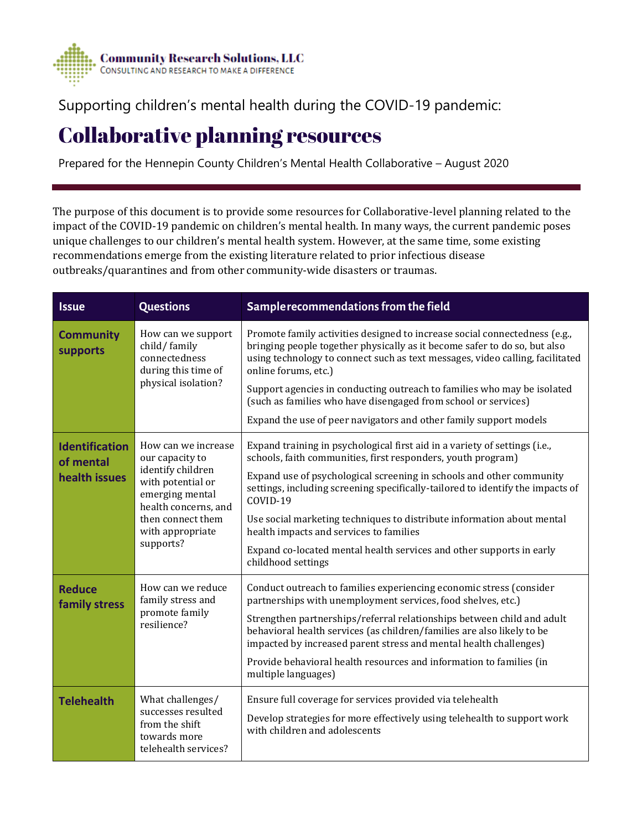

Supporting children's mental health during the COVID-19 pandemic:

# **Collaborative planning resources**

Prepared for the Hennepin County Children's Mental Health Collaborative – August 2020

The purpose of this document is to provide some resources for Collaborative-level planning related to the impact of the COVID-19 pandemic on children's mental health. In many ways, the current pandemic poses unique challenges to our children's mental health system. However, at the same time, some existing recommendations emerge from the existing literature related to prior infectious disease outbreaks/quarantines and from other community-wide disasters or traumas.

| <b>Issue</b>                                        | <b>Questions</b>                                                                                                                                                                  | Sample recommendations from the field                                                                                                                                                                                                                                                                                                                                                                                                                                                                                               |
|-----------------------------------------------------|-----------------------------------------------------------------------------------------------------------------------------------------------------------------------------------|-------------------------------------------------------------------------------------------------------------------------------------------------------------------------------------------------------------------------------------------------------------------------------------------------------------------------------------------------------------------------------------------------------------------------------------------------------------------------------------------------------------------------------------|
| <b>Community</b><br><b>supports</b>                 | How can we support<br>child/family<br>connectedness<br>during this time of<br>physical isolation?                                                                                 | Promote family activities designed to increase social connectedness (e.g.,<br>bringing people together physically as it become safer to do so, but also<br>using technology to connect such as text messages, video calling, facilitated<br>online forums, etc.)<br>Support agencies in conducting outreach to families who may be isolated<br>(such as families who have disengaged from school or services)<br>Expand the use of peer navigators and other family support models                                                  |
| <b>Identification</b><br>of mental<br>health issues | How can we increase<br>our capacity to<br>identify children<br>with potential or<br>emerging mental<br>health concerns, and<br>then connect them<br>with appropriate<br>supports? | Expand training in psychological first aid in a variety of settings (i.e.,<br>schools, faith communities, first responders, youth program)<br>Expand use of psychological screening in schools and other community<br>settings, including screening specifically-tailored to identify the impacts of<br>COVID-19<br>Use social marketing techniques to distribute information about mental<br>health impacts and services to families<br>Expand co-located mental health services and other supports in early<br>childhood settings |
| <b>Reduce</b><br>family stress                      | How can we reduce<br>family stress and<br>promote family<br>resilience?                                                                                                           | Conduct outreach to families experiencing economic stress (consider<br>partnerships with unemployment services, food shelves, etc.)<br>Strengthen partnerships/referral relationships between child and adult<br>behavioral health services (as children/families are also likely to be<br>impacted by increased parent stress and mental health challenges)<br>Provide behavioral health resources and information to families (in<br>multiple languages)                                                                          |
| <b>Telehealth</b>                                   | What challenges/<br>successes resulted<br>from the shift<br>towards more<br>telehealth services?                                                                                  | Ensure full coverage for services provided via telehealth<br>Develop strategies for more effectively using telehealth to support work<br>with children and adolescents                                                                                                                                                                                                                                                                                                                                                              |